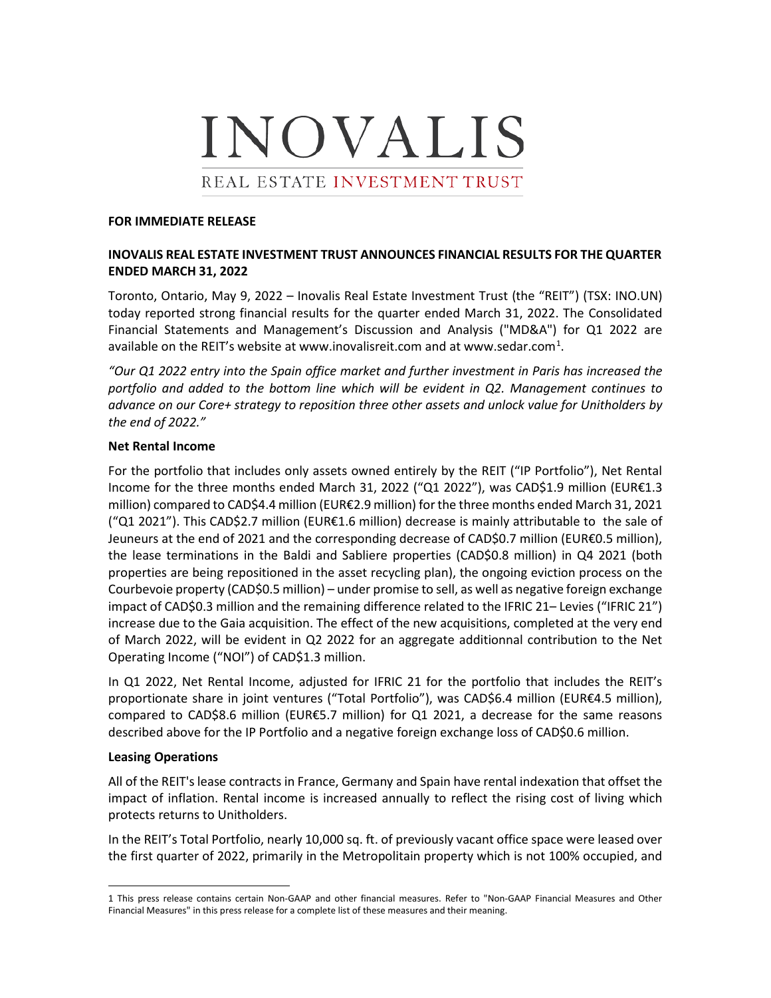# INOVALIS REAL ESTATE INVESTMENT TRUST

## **FOR IMMEDIATE RELEASE**

## **INOVALIS REAL ESTATE INVESTMENT TRUST ANNOUNCES FINANCIAL RESULTS FOR THE QUARTER ENDED MARCH 31, 2022**

Toronto, Ontario, May 9, 2022 – Inovalis Real Estate Investment Trust (the "REIT") (TSX: INO.UN) today reported strong financial results for the quarter ended March 31, 2022. The Consolidated Financial Statements and Management's Discussion and Analysis ("MD&A") for Q1 2022 are available on the REIT's website at www.inovalisreit.com and at www.sedar.com<sup>[1](#page-0-0)</sup>.

*"Our Q1 2022 entry into the Spain office market and further investment in Paris has increased the portfolio and added to the bottom line which will be evident in Q2. Management continues to advance on our Core+ strategy to reposition three other assets and unlock value for Unitholders by the end of 2022."* 

## **Net Rental Income**

For the portfolio that includes only assets owned entirely by the REIT ("IP Portfolio"), Net Rental Income for the three months ended March 31, 2022 ("Q1 2022"), was CAD\$1.9 million (EUR€1.3 million) compared to CAD\$4.4 million (EUR€2.9 million) for the three months ended March 31, 2021 ("Q1 2021"). This CAD\$2.7 million (EUR€1.6 million) decrease is mainly attributable to the sale of Jeuneurs at the end of 2021 and the corresponding decrease of CAD\$0.7 million (EUR€0.5 million), the lease terminations in the Baldi and Sabliere properties (CAD\$0.8 million) in Q4 2021 (both properties are being repositioned in the asset recycling plan), the ongoing eviction process on the Courbevoie property (CAD\$0.5 million) – under promise to sell, as well as negative foreign exchange impact of CAD\$0.3 million and the remaining difference related to the IFRIC 21– Levies ("IFRIC 21") increase due to the Gaia acquisition. The effect of the new acquisitions, completed at the very end of March 2022, will be evident in Q2 2022 for an aggregate additionnal contribution to the Net Operating Income ("NOI") of CAD\$1.3 million.

In Q1 2022, Net Rental Income, adjusted for IFRIC 21 for the portfolio that includes the REIT's proportionate share in joint ventures ("Total Portfolio"), was CAD\$6.4 million (EUR€4.5 million), compared to CAD\$8.6 million (EUR€5.7 million) for Q1 2021, a decrease for the same reasons described above for the IP Portfolio and a negative foreign exchange loss of CAD\$0.6 million.

## **Leasing Operations**

All of the REIT's lease contracts in France, Germany and Spain have rental indexation that offset the impact of inflation. Rental income is increased annually to reflect the rising cost of living which protects returns to Unitholders.

In the REIT's Total Portfolio, nearly 10,000 sq. ft. of previously vacant office space were leased over the first quarter of 2022, primarily in the Metropolitain property which is not 100% occupied, and

<span id="page-0-0"></span><sup>1</sup> This press release contains certain Non-GAAP and other financial measures. Refer to "Non-GAAP Financial Measures and Other Financial Measures" in this press release for a complete list of these measures and their meaning.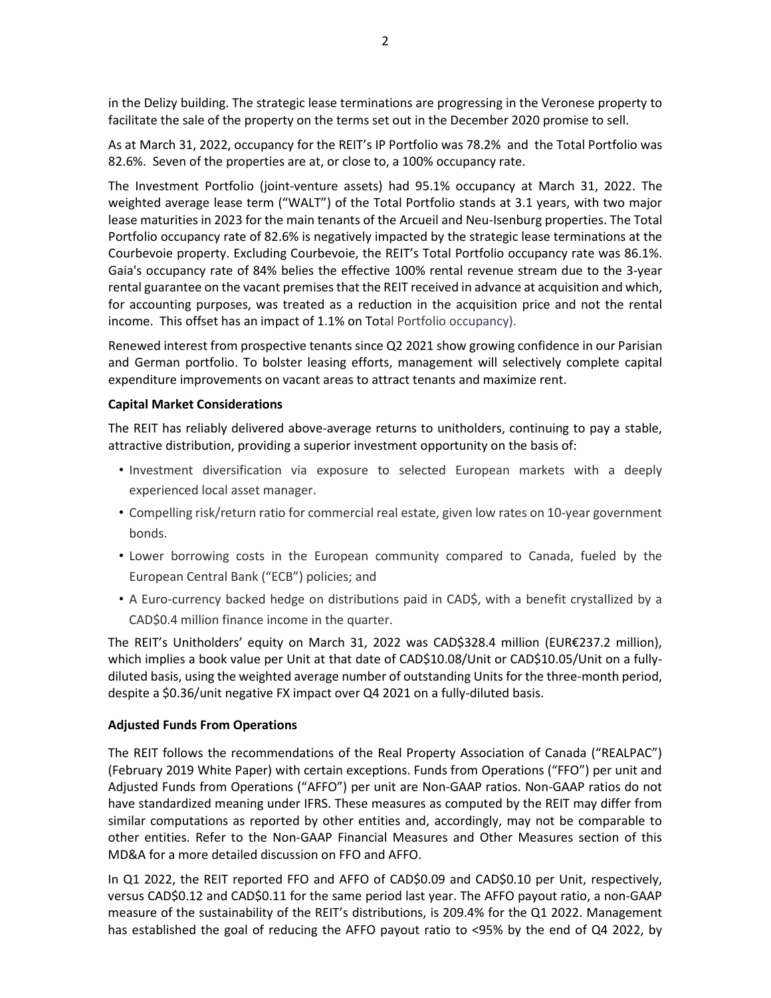in the Delizy building. The strategic lease terminations are progressing in the Veronese property to facilitate the sale of the property on the terms set out in the December 2020 promise to sell.

As at March 31, 2022, occupancy for the REIT's IP Portfolio was 78.2% and the Total Portfolio was 82.6%. Seven of the properties are at, or close to, a 100% occupancy rate.

The Investment Portfolio (joint-venture assets) had 95.1% occupancy at March 31, 2022. The weighted average lease term ("WALT") of the Total Portfolio stands at 3.1 years, with two major lease maturities in 2023 for the main tenants of the Arcueil and Neu-Isenburg properties. The Total Portfolio occupancy rate of 82.6% is negatively impacted by the strategic lease terminations at the Courbevoie property. Excluding Courbevoie, the REIT's Total Portfolio occupancy rate was 86.1%. Gaia's occupancy rate of 84% belies the effective 100% rental revenue stream due to the 3-year rental guarantee on the vacant premises that the REIT received in advance at acquisition and which, for accounting purposes, was treated as a reduction in the acquisition price and not the rental income. This offset has an impact of 1.1% on Total Portfolio occupancy).

Renewed interest from prospective tenants since Q2 2021 show growing confidence in our Parisian and German portfolio. To bolster leasing efforts, management will selectively complete capital expenditure improvements on vacant areas to attract tenants and maximize rent.

## **Capital Market Considerations**

The REIT has reliably delivered above-average returns to unitholders, continuing to pay a stable, attractive distribution, providing a superior investment opportunity on the basis of:

- Investment diversification via exposure to selected European markets with a deeply experienced local asset manager.
- Compelling risk/return ratio for commercial real estate, given low rates on 10-year government bonds.
- Lower borrowing costs in the European community compared to Canada, fueled by the European Central Bank ("ECB") policies; and
- A Euro-currency backed hedge on distributions paid in CAD\$, with a benefit crystallized by a CAD\$0.4 million finance income in the quarter.

The REIT's Unitholders' equity on March 31, 2022 was CAD\$328.4 million (EUR€237.2 million), which implies a book value per Unit at that date of CAD\$10.08/Unit or CAD\$10.05/Unit on a fullydiluted basis, using the weighted average number of outstanding Units for the three-month period, despite a \$0.36/unit negative FX impact over Q4 2021 on a fully-diluted basis.

## **Adjusted Funds From Operations**

The REIT follows the recommendations of the Real Property Association of Canada ("REALPAC") (February 2019 White Paper) with certain exceptions. Funds from Operations ("FFO") per unit and Adjusted Funds from Operations ("AFFO") per unit are Non-GAAP ratios. Non-GAAP ratios do not have standardized meaning under IFRS. These measures as computed by the REIT may differ from similar computations as reported by other entities and, accordingly, may not be comparable to other entities. Refer to the Non-GAAP Financial Measures and Other Measures section of this MD&A for a more detailed discussion on FFO and AFFO.

In Q1 2022, the REIT reported FFO and AFFO of CAD\$0.09 and CAD\$0.10 per Unit, respectively, versus CAD\$0.12 and CAD\$0.11 for the same period last year. The AFFO payout ratio, a non-GAAP measure of the sustainability of the REIT's distributions, is 209.4% for the Q1 2022. Management has established the goal of reducing the AFFO payout ratio to <95% by the end of Q4 2022, by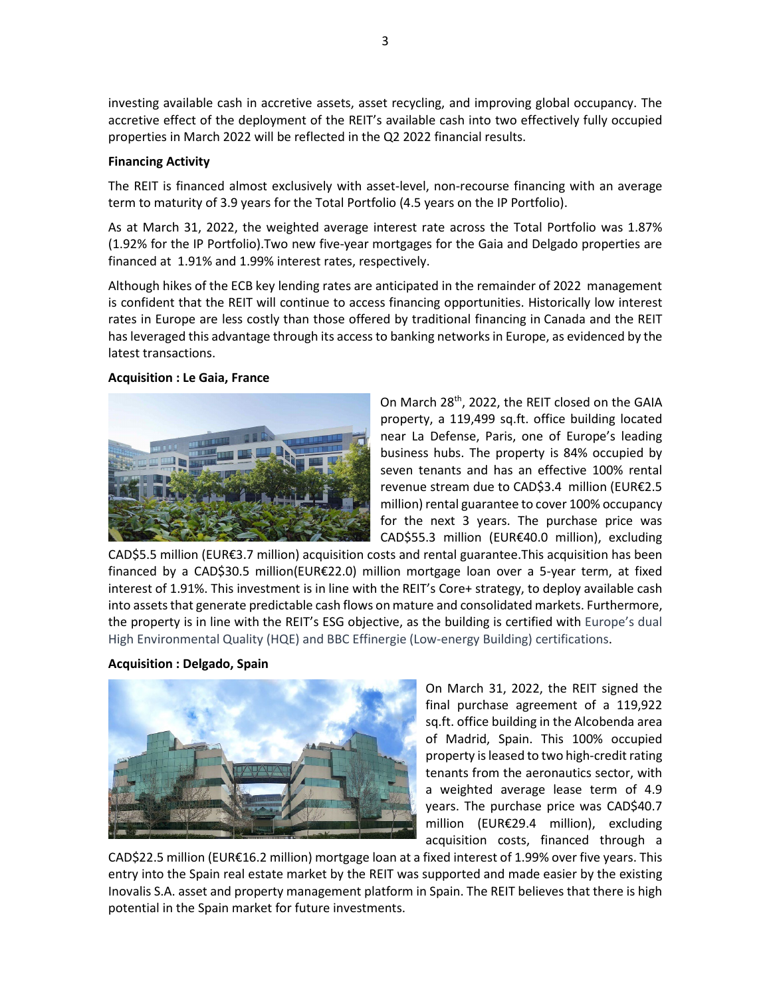investing available cash in accretive assets, asset recycling, and improving global occupancy. The accretive effect of the deployment of the REIT's available cash into two effectively fully occupied properties in March 2022 will be reflected in the Q2 2022 financial results.

## **Financing Activity**

The REIT is financed almost exclusively with asset-level, non-recourse financing with an average term to maturity of 3.9 years for the Total Portfolio (4.5 years on the IP Portfolio).

As at March 31, 2022, the weighted average interest rate across the Total Portfolio was 1.87% (1.92% for the IP Portfolio).Two new five-year mortgages for the Gaia and Delgado properties are financed at 1.91% and 1.99% interest rates, respectively.

Although hikes of the ECB key lending rates are anticipated in the remainder of 2022 management is confident that the REIT will continue to access financing opportunities. Historically low interest rates in Europe are less costly than those offered by traditional financing in Canada and the REIT has leveraged this advantage through its access to banking networks in Europe, as evidenced by the latest transactions.

## **Acquisition : Le Gaia, France**



On March 28<sup>th</sup>, 2022, the REIT closed on the GAIA property, a 119,499 sq.ft. office building located near La Defense, Paris, one of Europe's leading business hubs. The property is 84% occupied by seven tenants and has an effective 100% rental revenue stream due to CAD\$3.4 million (EUR€2.5 million) rental guarantee to cover 100% occupancy for the next 3 years. The purchase price was CAD\$55.3 million (EUR€40.0 million), excluding

CAD\$5.5 million (EUR€3.7 million) acquisition costs and rental guarantee.This acquisition has been financed by a CAD\$30.5 million(EUR€22.0) million mortgage loan over a 5-year term, at fixed interest of 1.91%. This investment is in line with the REIT's Core+ strategy, to deploy available cash into assets that generate predictable cash flows on mature and consolidated markets. Furthermore, the property is in line with the REIT's ESG objective, as the building is certified with Europe's dual High Environmental Quality (HQE) and BBC Effinergie (Low-energy Building) certifications.

### **Acquisition : Delgado, Spain**



On March 31, 2022, the REIT signed the final purchase agreement of a 119,922 sq.ft. office building in the Alcobenda area of Madrid, Spain. This 100% occupied property is leased to two high-credit rating tenants from the aeronautics sector, with a weighted average lease term of 4.9 years. The purchase price was CAD\$40.7 million (EUR€29.4 million), excluding acquisition costs, financed through a

CAD\$22.5 million (EUR€16.2 million) mortgage loan at a fixed interest of 1.99% over five years. This entry into the Spain real estate market by the REIT was supported and made easier by the existing Inovalis S.A. asset and property management platform in Spain. The REIT believes that there is high potential in the Spain market for future investments.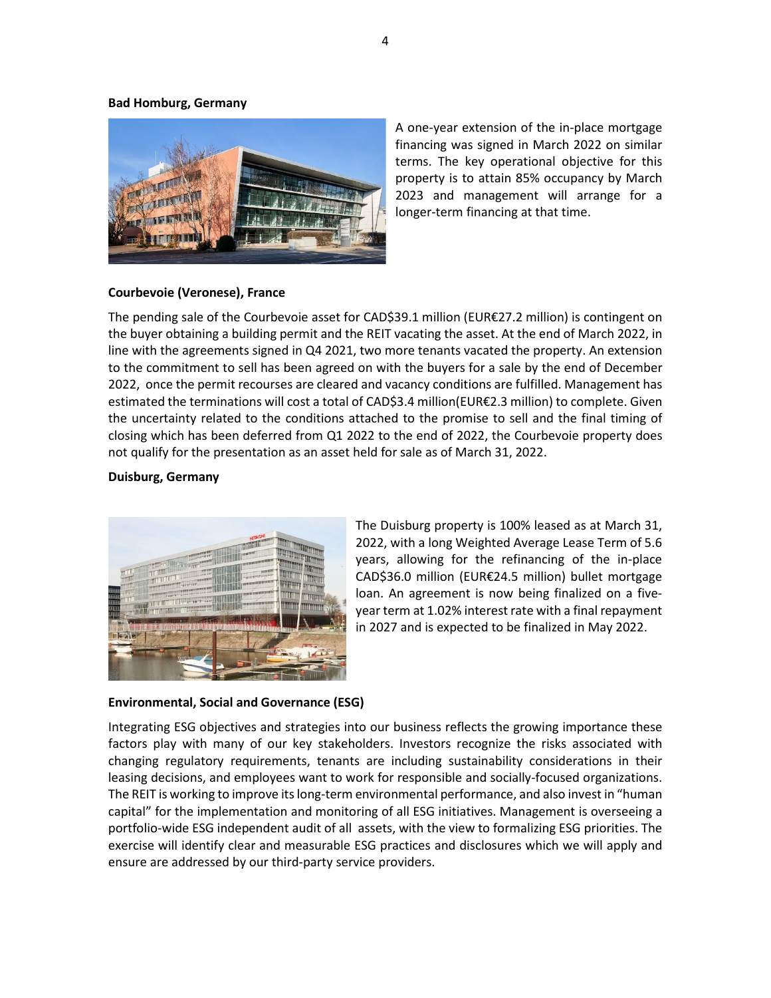#### **Bad Homburg, Germany**



A one-year extension of the in-place mortgage financing was signed in March 2022 on similar terms. The key operational objective for this property is to attain 85% occupancy by March 2023 and management will arrange for a longer-term financing at that time.

#### **Courbevoie (Veronese), France**

The pending sale of the Courbevoie asset for CAD\$39.1 million (EUR€27.2 million) is contingent on the buyer obtaining a building permit and the REIT vacating the asset. At the end of March 2022, in line with the agreements signed in Q4 2021, two more tenants vacated the property. An extension to the commitment to sell has been agreed on with the buyers for a sale by the end of December 2022, once the permit recourses are cleared and vacancy conditions are fulfilled. Management has estimated the terminations will cost a total of CAD\$3.4 million(EUR€2.3 million) to complete. Given the uncertainty related to the conditions attached to the promise to sell and the final timing of closing which has been deferred from Q1 2022 to the end of 2022, the Courbevoie property does not qualify for the presentation as an asset held for sale as of March 31, 2022.

### **Duisburg, Germany**



The Duisburg property is 100% leased as at March 31, 2022, with a long Weighted Average Lease Term of 5.6 years, allowing for the refinancing of the in-place CAD\$36.0 million (EUR€24.5 million) bullet mortgage loan. An agreement is now being finalized on a fiveyear term at 1.02% interest rate with a final repayment in 2027 and is expected to be finalized in May 2022.

### **Environmental, Social and Governance (ESG)**

Integrating ESG objectives and strategies into our business reflects the growing importance these factors play with many of our key stakeholders. Investors recognize the risks associated with changing regulatory requirements, tenants are including sustainability considerations in their leasing decisions, and employees want to work for responsible and socially-focused organizations. The REIT is working to improve its long-term environmental performance, and also invest in "human capital" for the implementation and monitoring of all ESG initiatives. Management is overseeing a portfolio-wide ESG independent audit of all assets, with the view to formalizing ESG priorities. The exercise will identify clear and measurable ESG practices and disclosures which we will apply and ensure are addressed by our third-party service providers.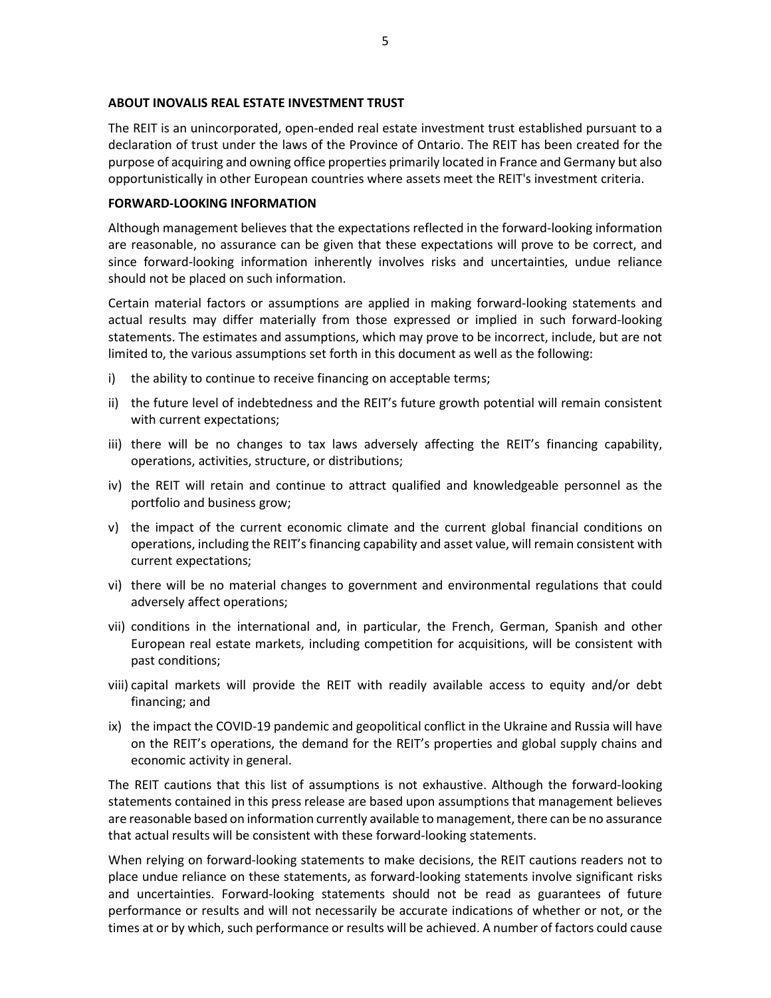#### **ABOUT INOVALIS REAL ESTATE INVESTMENT TRUST**

The REIT is an unincorporated, open-ended real estate investment trust established pursuant to a declaration of trust under the laws of the Province of Ontario. The REIT has been created for the purpose of acquiring and owning office properties primarily located in France and Germany but also opportunistically in other European countries where assets meet the REIT's investment criteria.

#### **FORWARD-LOOKING INFORMATION**

Although management believes that the expectations reflected in the forward-looking information are reasonable, no assurance can be given that these expectations will prove to be correct, and since forward-looking information inherently involves risks and uncertainties, undue reliance should not be placed on such information.

Certain material factors or assumptions are applied in making forward-looking statements and actual results may differ materially from those expressed or implied in such forward-looking statements. The estimates and assumptions, which may prove to be incorrect, include, but are not limited to, the various assumptions set forth in this document as well as the following:

- i) the ability to continue to receive financing on acceptable terms;
- ii) the future level of indebtedness and the REIT's future growth potential will remain consistent with current expectations;
- iii) there will be no changes to tax laws adversely affecting the REIT's financing capability, operations, activities, structure, or distributions;
- iv) the REIT will retain and continue to attract qualified and knowledgeable personnel as the portfolio and business grow;
- v) the impact of the current economic climate and the current global financial conditions on operations, including the REIT's financing capability and asset value, will remain consistent with current expectations;
- vi) there will be no material changes to government and environmental regulations that could adversely affect operations;
- vii) conditions in the international and, in particular, the French, German, Spanish and other European real estate markets, including competition for acquisitions, will be consistent with past conditions;
- viii) capital markets will provide the REIT with readily available access to equity and/or debt financing; and
- ix) the impact the COVID-19 pandemic and geopolitical conflict in the Ukraine and Russia will have on the REIT's operations, the demand for the REIT's properties and global supply chains and economic activity in general.

The REIT cautions that this list of assumptions is not exhaustive. Although the forward-looking statements contained in this press release are based upon assumptions that management believes are reasonable based on information currently available to management, there can be no assurance that actual results will be consistent with these forward-looking statements.

When relying on forward-looking statements to make decisions, the REIT cautions readers not to place undue reliance on these statements, as forward-looking statements involve significant risks and uncertainties. Forward-looking statements should not be read as guarantees of future performance or results and will not necessarily be accurate indications of whether or not, or the times at or by which, such performance or results will be achieved. A number of factors could cause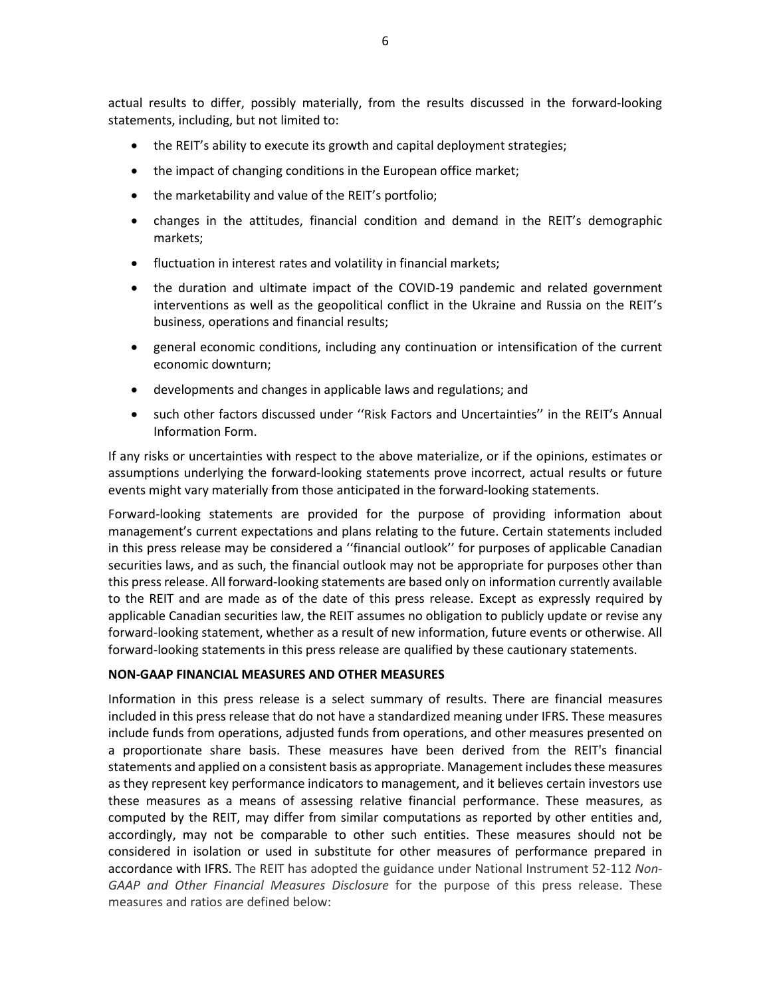actual results to differ, possibly materially, from the results discussed in the forward-looking statements, including, but not limited to:

- the REIT's ability to execute its growth and capital deployment strategies;
- the impact of changing conditions in the European office market;
- the marketability and value of the REIT's portfolio;
- changes in the attitudes, financial condition and demand in the REIT's demographic markets;
- fluctuation in interest rates and volatility in financial markets;
- the duration and ultimate impact of the COVID-19 pandemic and related government interventions as well as the geopolitical conflict in the Ukraine and Russia on the REIT's business, operations and financial results;
- general economic conditions, including any continuation or intensification of the current economic downturn;
- developments and changes in applicable laws and regulations; and
- such other factors discussed under ''Risk Factors and Uncertainties'' in the REIT's Annual Information Form.

If any risks or uncertainties with respect to the above materialize, or if the opinions, estimates or assumptions underlying the forward-looking statements prove incorrect, actual results or future events might vary materially from those anticipated in the forward-looking statements.

Forward-looking statements are provided for the purpose of providing information about management's current expectations and plans relating to the future. Certain statements included in this press release may be considered a ''financial outlook'' for purposes of applicable Canadian securities laws, and as such, the financial outlook may not be appropriate for purposes other than this press release. All forward-looking statements are based only on information currently available to the REIT and are made as of the date of this press release. Except as expressly required by applicable Canadian securities law, the REIT assumes no obligation to publicly update or revise any forward-looking statement, whether as a result of new information, future events or otherwise. All forward-looking statements in this press release are qualified by these cautionary statements.

### **NON-GAAP FINANCIAL MEASURES AND OTHER MEASURES**

Information in this press release is a select summary of results. There are financial measures included in this press release that do not have a standardized meaning under IFRS. These measures include funds from operations, adjusted funds from operations, and other measures presented on a proportionate share basis. These measures have been derived from the REIT's financial statements and applied on a consistent basis as appropriate. Management includes these measures as they represent key performance indicators to management, and it believes certain investors use these measures as a means of assessing relative financial performance. These measures, as computed by the REIT, may differ from similar computations as reported by other entities and, accordingly, may not be comparable to other such entities. These measures should not be considered in isolation or used in substitute for other measures of performance prepared in accordance with IFRS. The REIT has adopted the guidance under National Instrument 52-112 *Non-GAAP and Other Financial Measures Disclosure* for the purpose of this press release. These measures and ratios are defined below: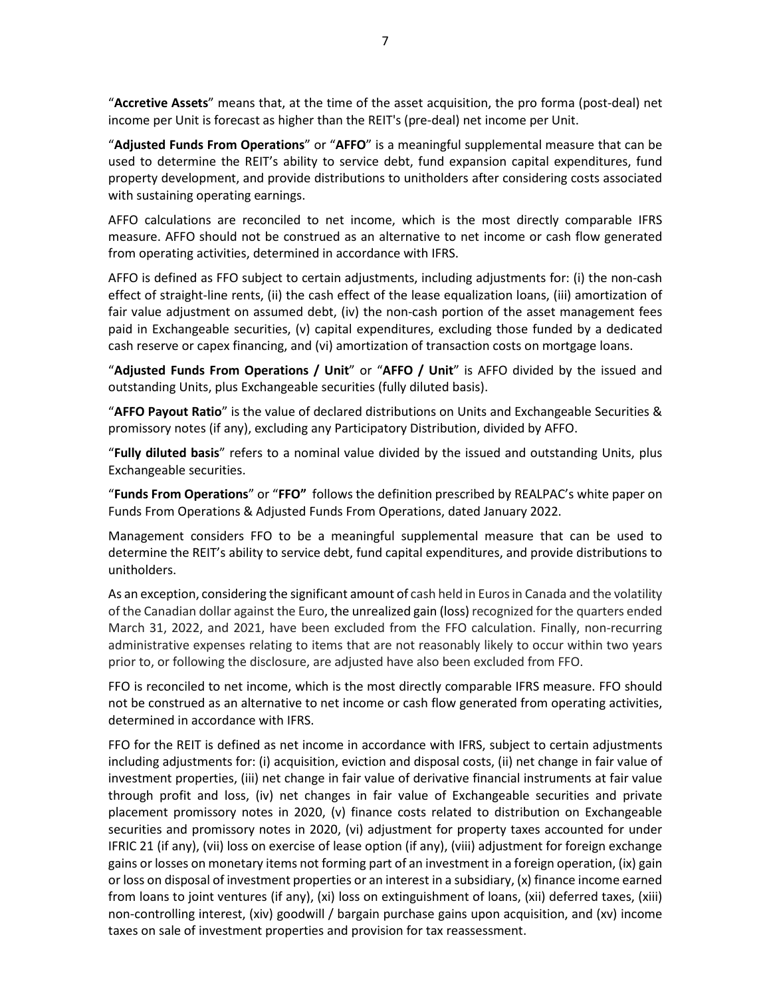"**Accretive Assets**" means that, at the time of the asset acquisition, the pro forma (post-deal) net income per Unit is forecast as higher than the REIT's (pre-deal) net income per Unit.

"**Adjusted Funds From Operations**" or "**AFFO**" is a meaningful supplemental measure that can be used to determine the REIT's ability to service debt, fund expansion capital expenditures, fund property development, and provide distributions to unitholders after considering costs associated with sustaining operating earnings.

AFFO calculations are reconciled to net income, which is the most directly comparable IFRS measure. AFFO should not be construed as an alternative to net income or cash flow generated from operating activities, determined in accordance with IFRS.

AFFO is defined as FFO subject to certain adjustments, including adjustments for: (i) the non-cash effect of straight-line rents, (ii) the cash effect of the lease equalization loans, (iii) amortization of fair value adjustment on assumed debt, (iv) the non-cash portion of the asset management fees paid in Exchangeable securities, (v) capital expenditures, excluding those funded by a dedicated cash reserve or capex financing, and (vi) amortization of transaction costs on mortgage loans.

"**Adjusted Funds From Operations / Unit**" or "**AFFO / Unit**" is AFFO divided by the issued and outstanding Units, plus Exchangeable securities (fully diluted basis).

"**AFFO Payout Ratio**" is the value of declared distributions on Units and Exchangeable Securities & promissory notes (if any), excluding any Participatory Distribution, divided by AFFO.

"**Fully diluted basis**" refers to a nominal value divided by the issued and outstanding Units, plus Exchangeable securities.

"**Funds From Operations**" or "**FFO"** follows the definition prescribed by REALPAC's white paper on Funds From Operations & Adjusted Funds From Operations, dated January 2022.

Management considers FFO to be a meaningful supplemental measure that can be used to determine the REIT's ability to service debt, fund capital expenditures, and provide distributions to unitholders.

As an exception, considering the significant amount of cash held in Euros in Canada and the volatility of the Canadian dollar against the Euro, the unrealized gain (loss) recognized for the quarters ended March 31, 2022, and 2021, have been excluded from the FFO calculation. Finally, non-recurring administrative expenses relating to items that are not reasonably likely to occur within two years prior to, or following the disclosure, are adjusted have also been excluded from FFO.

FFO is reconciled to net income, which is the most directly comparable IFRS measure. FFO should not be construed as an alternative to net income or cash flow generated from operating activities, determined in accordance with IFRS.

FFO for the REIT is defined as net income in accordance with IFRS, subject to certain adjustments including adjustments for: (i) acquisition, eviction and disposal costs, (ii) net change in fair value of investment properties, (iii) net change in fair value of derivative financial instruments at fair value through profit and loss, (iv) net changes in fair value of Exchangeable securities and private placement promissory notes in 2020, (v) finance costs related to distribution on Exchangeable securities and promissory notes in 2020, (vi) adjustment for property taxes accounted for under IFRIC 21 (if any), (vii) loss on exercise of lease option (if any), (viii) adjustment for foreign exchange gains or losses on monetary items not forming part of an investment in a foreign operation, (ix) gain or loss on disposal of investment properties or an interest in a subsidiary, (x) finance income earned from loans to joint ventures (if any), (xi) loss on extinguishment of loans, (xii) deferred taxes, (xiii) non-controlling interest, (xiv) goodwill / bargain purchase gains upon acquisition, and (xv) income taxes on sale of investment properties and provision for tax reassessment.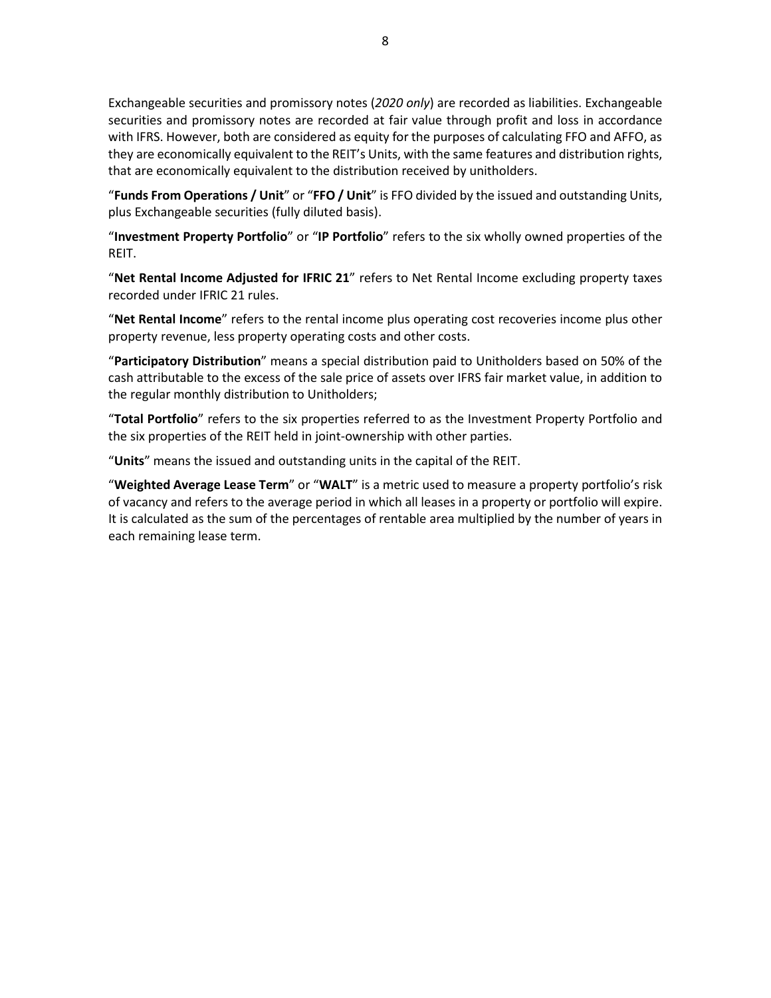Exchangeable securities and promissory notes (*2020 only*) are recorded as liabilities. Exchangeable securities and promissory notes are recorded at fair value through profit and loss in accordance with IFRS. However, both are considered as equity for the purposes of calculating FFO and AFFO, as they are economically equivalent to the REIT's Units, with the same features and distribution rights, that are economically equivalent to the distribution received by unitholders.

"**Funds From Operations / Unit**" or "**FFO / Unit**" is FFO divided by the issued and outstanding Units, plus Exchangeable securities (fully diluted basis).

"**Investment Property Portfolio**" or "**IP Portfolio**" refers to the six wholly owned properties of the REIT.

"**Net Rental Income Adjusted for IFRIC 21**" refers to Net Rental Income excluding property taxes recorded under IFRIC 21 rules.

"**Net Rental Income**" refers to the rental income plus operating cost recoveries income plus other property revenue, less property operating costs and other costs.

"**Participatory Distribution**" means a special distribution paid to Unitholders based on 50% of the cash attributable to the excess of the sale price of assets over IFRS fair market value, in addition to the regular monthly distribution to Unitholders;

"**Total Portfolio**" refers to the six properties referred to as the Investment Property Portfolio and the six properties of the REIT held in joint-ownership with other parties.

"**Units**" means the issued and outstanding units in the capital of the REIT.

"**Weighted Average Lease Term**" or "**WALT**" is a metric used to measure a property portfolio's risk of vacancy and refers to the average period in which all leases in a property or portfolio will expire. It is calculated as the sum of the percentages of rentable area multiplied by the number of years in each remaining lease term.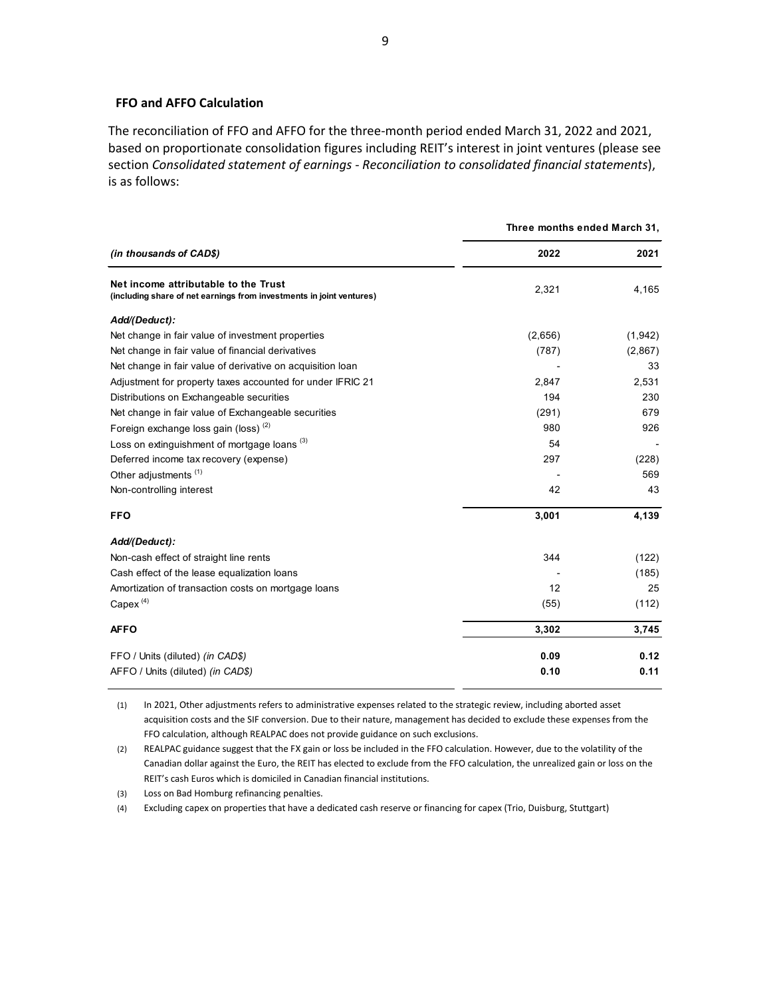#### **FFO and AFFO Calculation**

The reconciliation of FFO and AFFO for the three-month period ended March 31, 2022 and 2021, based on proportionate consolidation figures including REIT's interest in joint ventures (please see section *Consolidated statement of earnings* - *Reconciliation to consolidated financial statements*), is as follows:

|                                                                                                              |         | Three months ended March 31, |  |
|--------------------------------------------------------------------------------------------------------------|---------|------------------------------|--|
| (in thousands of CAD\$)                                                                                      | 2022    | 2021                         |  |
| Net income attributable to the Trust<br>(including share of net earnings from investments in joint ventures) | 2,321   | 4,165                        |  |
| Add/(Deduct):                                                                                                |         |                              |  |
| Net change in fair value of investment properties                                                            | (2,656) | (1,942)                      |  |
| Net change in fair value of financial derivatives                                                            | (787)   | (2,867)                      |  |
| Net change in fair value of derivative on acquisition loan                                                   |         | 33                           |  |
| Adjustment for property taxes accounted for under IFRIC 21                                                   | 2,847   | 2,531                        |  |
| Distributions on Exchangeable securities                                                                     | 194     | 230                          |  |
| Net change in fair value of Exchangeable securities                                                          | (291)   | 679                          |  |
| Foreign exchange loss gain (loss) <sup>(2)</sup>                                                             | 980     | 926                          |  |
| Loss on extinguishment of mortgage loans <sup>(3)</sup>                                                      | 54      |                              |  |
| Deferred income tax recovery (expense)                                                                       | 297     | (228)                        |  |
| Other adjustments <sup>(1)</sup>                                                                             |         | 569                          |  |
| Non-controlling interest                                                                                     | 42      | 43                           |  |
| <b>FFO</b>                                                                                                   | 3,001   | 4,139                        |  |
| Add/(Deduct):                                                                                                |         |                              |  |
| Non-cash effect of straight line rents                                                                       | 344     | (122)                        |  |
| Cash effect of the lease equalization loans                                                                  |         | (185)                        |  |
| Amortization of transaction costs on mortgage loans                                                          | 12      | 25                           |  |
| Capex <sup>(4)</sup>                                                                                         | (55)    | (112)                        |  |
| <b>AFFO</b>                                                                                                  | 3,302   | 3,745                        |  |
| FFO / Units (diluted) (in CAD\$)                                                                             | 0.09    | 0.12                         |  |
| AFFO / Units (diluted) (in CAD\$)                                                                            | 0.10    | 0.11                         |  |

(1) In 2021, Other adjustments refers to administrative expenses related to the strategic review, including aborted asset acquisition costs and the SIF conversion. Due to their nature, management has decided to exclude these expenses from the FFO calculation, although REALPAC does not provide guidance on such exclusions.

(2) REALPAC guidance suggest that the FX gain or loss be included in the FFO calculation. However, due to the volatility of the Canadian dollar against the Euro, the REIT has elected to exclude from the FFO calculation, the unrealized gain or loss on the REIT's cash Euros which is domiciled in Canadian financial institutions.

(3) Loss on Bad Homburg refinancing penalties.

(4) Excluding capex on properties that have a dedicated cash reserve or financing for capex (Trio, Duisburg, Stuttgart)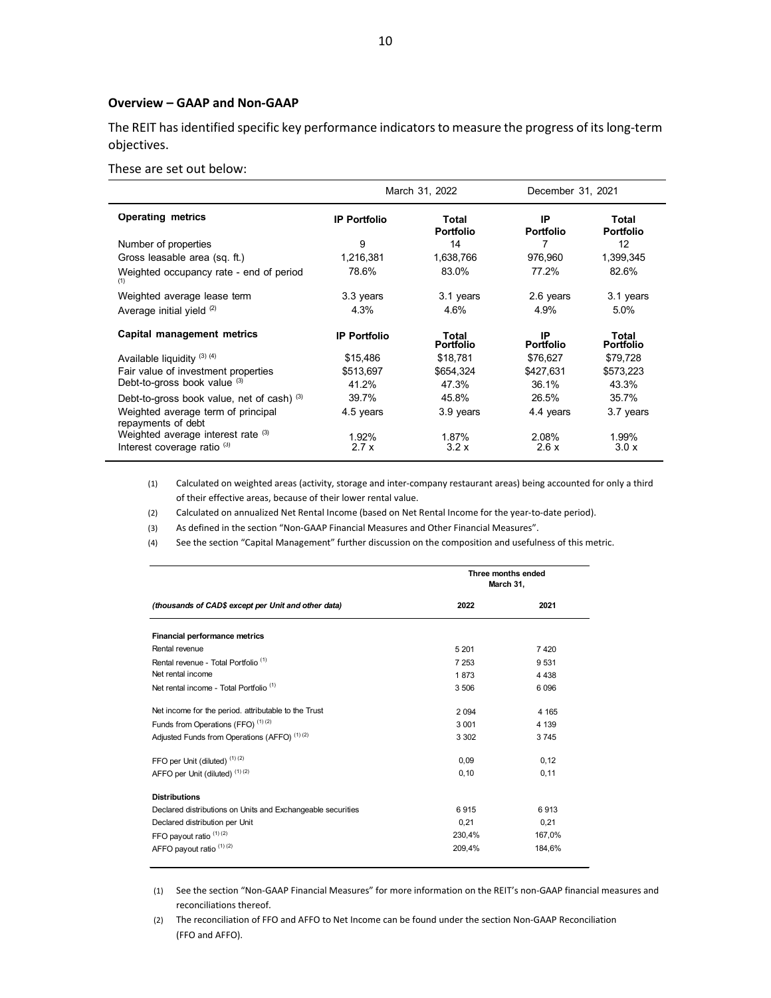## **Overview – GAAP and Non-GAAP**

The REIT has identified specific key performance indicators to measure the progress of its long-term objectives.

#### These are set out below:

|                                                                              | March 31, 2022      |                           | December 31, 2021      |                           |
|------------------------------------------------------------------------------|---------------------|---------------------------|------------------------|---------------------------|
| <b>Operating metrics</b>                                                     | <b>IP Portfolio</b> | Total<br><b>Portfolio</b> | IP<br><b>Portfolio</b> | Total<br><b>Portfolio</b> |
| Number of properties                                                         | 9                   | 14                        | 7                      | 12                        |
| Gross leasable area (sq. ft.)                                                | 1,216,381           | 1,638,766                 | 976,960                | 1,399,345                 |
| Weighted occupancy rate - end of period<br>(1)                               | 78.6%               | 83.0%                     | 77.2%                  | 82.6%                     |
| Weighted average lease term                                                  | 3.3 years           | 3.1 years                 | 2.6 years              | 3.1 years                 |
| Average initial yield (2)                                                    | 4.3%                | 4.6%                      | 4.9%                   | 5.0%                      |
| Capital management metrics                                                   | <b>IP Portfolio</b> | Total<br><b>Portfolio</b> | IP<br><b>Portfolio</b> | Total<br><b>Portfolio</b> |
| Available liquidity $(3)$ $(4)$                                              | \$15,486            | \$18,781                  | \$76,627               | \$79,728                  |
| Fair value of investment properties                                          | \$513,697           | \$654,324                 | \$427,631              | \$573,223                 |
| Debt-to-gross book value (3)                                                 | 41.2%               | 47.3%                     | 36.1%                  | 43.3%                     |
| Debt-to-gross book value, net of cash) $(3)$                                 | 39.7%               | 45.8%                     | 26.5%                  | 35.7%                     |
| Weighted average term of principal<br>repayments of debt                     | 4.5 years           | 3.9 years                 | 4.4 years              | 3.7 years                 |
| Weighted average interest rate (3)<br>Interest coverage ratio <sup>(3)</sup> | 1.92%<br>2.7x       | 1.87%<br>3.2x             | 2.08%<br>2.6x          | 1.99%<br>3.0 x            |

(1) Calculated on weighted areas (activity, storage and inter-company restaurant areas) being accounted for only a third of their effective areas, because of their lower rental value.

(2) Calculated on annualized Net Rental Income (based on Net Rental Income for the year-to-date period).

(3) As defined in the section "Non-GAAP Financial Measures and Other Financial Measures".

(4) See the section "Capital Management" further discussion on the composition and usefulness of this metric.

| (thousands of CAD\$ except per Unit and other data)         | Three months ended<br>March 31, |         |
|-------------------------------------------------------------|---------------------------------|---------|
|                                                             | 2022                            | 2021    |
| <b>Financial performance metrics</b>                        |                                 |         |
| Rental revenue                                              | 5 2 0 1                         | 7420    |
| Rental revenue - Total Portfolio <sup>(1)</sup>             | 7 2 5 3                         | 9531    |
| Net rental income                                           | 1873                            | 4 4 3 8 |
| Net rental income - Total Portfolio <sup>(1)</sup>          | 3 506                           | 6096    |
| Net income for the period. attributable to the Trust        | 2094                            | 4 1 6 5 |
| Funds from Operations (FFO) <sup>(1)(2)</sup>               | 3 0 0 1                         | 4 1 3 9 |
| Adjusted Funds from Operations (AFFO) <sup>(1)(2)</sup>     | 3 3 0 2                         | 3745    |
| FFO per Unit (diluted) (1) (2)                              | 0,09                            | 0, 12   |
| AFFO per Unit (diluted) (1)(2)                              | 0, 10                           | 0,11    |
| <b>Distributions</b>                                        |                                 |         |
| Declared distributions on Units and Exchangeable securities | 6915                            | 6913    |
| Declared distribution per Unit                              | 0,21                            | 0,21    |
| FFO payout ratio $(1)(2)$                                   | 230,4%                          | 167,0%  |
| AFFO payout ratio (1)(2)                                    | 209,4%                          | 184,6%  |

(1) See the section "Non-GAAP Financial Measures" for more information on the REIT's non-GAAP financial measures and reconciliations thereof.

(2) The reconciliation of FFO and AFFO to Net Income can be found under the section Non-GAAP Reconciliation (FFO and AFFO).